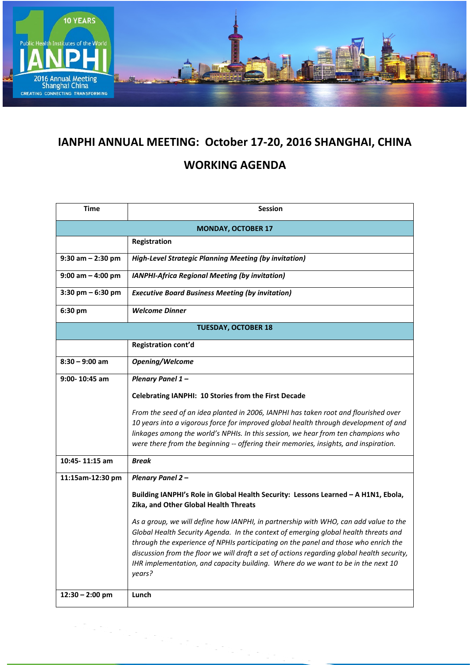

## **IANPHI ANNUAL MEETING: October 17-20, 2016 SHANGHAI, CHINA**

## **WORKING AGENDA**

| <b>Time</b>                | <b>Session</b>                                                                                                                                                                                                                                                                                                                                                                                                                                                 |  |
|----------------------------|----------------------------------------------------------------------------------------------------------------------------------------------------------------------------------------------------------------------------------------------------------------------------------------------------------------------------------------------------------------------------------------------------------------------------------------------------------------|--|
| <b>MONDAY, OCTOBER 17</b>  |                                                                                                                                                                                                                                                                                                                                                                                                                                                                |  |
|                            | Registration                                                                                                                                                                                                                                                                                                                                                                                                                                                   |  |
| $9:30$ am $- 2:30$ pm      | <b>High-Level Strategic Planning Meeting (by invitation)</b>                                                                                                                                                                                                                                                                                                                                                                                                   |  |
| $9:00$ am $-$ 4:00 pm      | <b>IANPHI-Africa Regional Meeting (by invitation)</b>                                                                                                                                                                                                                                                                                                                                                                                                          |  |
| $3:30$ pm $-6:30$ pm       | <b>Executive Board Business Meeting (by invitation)</b>                                                                                                                                                                                                                                                                                                                                                                                                        |  |
| 6:30 pm                    | <b>Welcome Dinner</b>                                                                                                                                                                                                                                                                                                                                                                                                                                          |  |
| <b>TUESDAY, OCTOBER 18</b> |                                                                                                                                                                                                                                                                                                                                                                                                                                                                |  |
|                            | Registration cont'd                                                                                                                                                                                                                                                                                                                                                                                                                                            |  |
| $8:30 - 9:00$ am           | Opening/Welcome                                                                                                                                                                                                                                                                                                                                                                                                                                                |  |
| $9:00 - 10:45$ am          | Plenary Panel 1-                                                                                                                                                                                                                                                                                                                                                                                                                                               |  |
|                            | Celebrating IANPHI: 10 Stories from the First Decade                                                                                                                                                                                                                                                                                                                                                                                                           |  |
|                            | From the seed of an idea planted in 2006, IANPHI has taken root and flourished over<br>10 years into a vigorous force for improved global health through development of and<br>linkages among the world's NPHIs. In this session, we hear from ten champions who<br>were there from the beginning -- offering their memories, insights, and inspiration.                                                                                                       |  |
| 10:45-11:15 am             | <b>Break</b>                                                                                                                                                                                                                                                                                                                                                                                                                                                   |  |
| 11:15am-12:30 pm           | <b>Plenary Panel 2-</b>                                                                                                                                                                                                                                                                                                                                                                                                                                        |  |
|                            | Building IANPHI's Role in Global Health Security: Lessons Learned - A H1N1, Ebola,<br>Zika, and Other Global Health Threats                                                                                                                                                                                                                                                                                                                                    |  |
|                            | As a group, we will define how IANPHI, in partnership with WHO, can add value to the<br>Global Health Security Agenda. In the context of emerging global health threats and<br>through the experience of NPHIs participating on the panel and those who enrich the<br>discussion from the floor we will draft a set of actions regarding global health security,<br>IHR implementation, and capacity building. Where do we want to be in the next 10<br>years? |  |
| $12:30 - 2:00$ pm          | Lunch                                                                                                                                                                                                                                                                                                                                                                                                                                                          |  |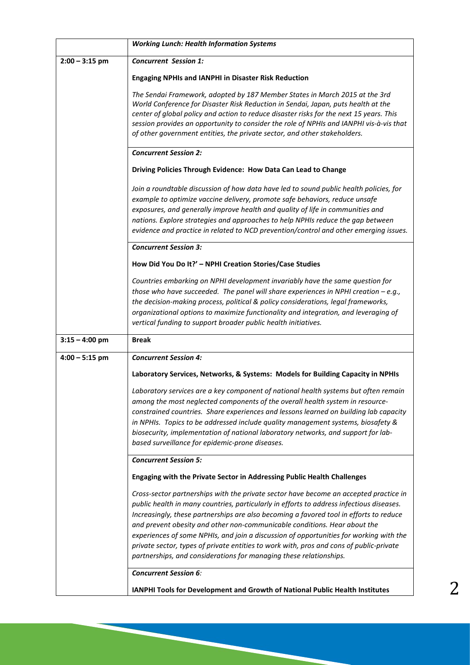|                  | <b>Working Lunch: Health Information Systems</b>                                                                                                                                                                                                                                                                                                                                                                                                                                                                                                                                                                    |
|------------------|---------------------------------------------------------------------------------------------------------------------------------------------------------------------------------------------------------------------------------------------------------------------------------------------------------------------------------------------------------------------------------------------------------------------------------------------------------------------------------------------------------------------------------------------------------------------------------------------------------------------|
| $2:00 - 3:15$ pm | <b>Concurrent Session 1:</b>                                                                                                                                                                                                                                                                                                                                                                                                                                                                                                                                                                                        |
|                  | <b>Engaging NPHIs and IANPHI in Disaster Risk Reduction</b>                                                                                                                                                                                                                                                                                                                                                                                                                                                                                                                                                         |
|                  | The Sendai Framework, adopted by 187 Member States in March 2015 at the 3rd<br>World Conference for Disaster Risk Reduction in Sendai, Japan, puts health at the<br>center of global policy and action to reduce disaster risks for the next 15 years. This<br>session provides an opportunity to consider the role of NPHIs and IANPHI vis-à-vis that<br>of other government entities, the private sector, and other stakeholders.                                                                                                                                                                                 |
|                  | <b>Concurrent Session 2:</b>                                                                                                                                                                                                                                                                                                                                                                                                                                                                                                                                                                                        |
|                  | Driving Policies Through Evidence: How Data Can Lead to Change                                                                                                                                                                                                                                                                                                                                                                                                                                                                                                                                                      |
|                  | Join a roundtable discussion of how data have led to sound public health policies, for<br>example to optimize vaccine delivery, promote safe behaviors, reduce unsafe<br>exposures, and generally improve health and quality of life in communities and<br>nations. Explore strategies and approaches to help NPHIs reduce the gap between<br>evidence and practice in related to NCD prevention/control and other emerging issues.                                                                                                                                                                                 |
|                  | <b>Concurrent Session 3:</b>                                                                                                                                                                                                                                                                                                                                                                                                                                                                                                                                                                                        |
|                  | How Did You Do It?' - NPHI Creation Stories/Case Studies                                                                                                                                                                                                                                                                                                                                                                                                                                                                                                                                                            |
|                  | Countries embarking on NPHI development invariably have the same question for<br>those who have succeeded. The panel will share experiences in NPHI creation $-e.g.,$<br>the decision-making process, political & policy considerations, legal frameworks,<br>organizational options to maximize functionality and integration, and leveraging of<br>vertical funding to support broader public health initiatives.                                                                                                                                                                                                 |
| $3:15 - 4:00$ pm | <b>Break</b>                                                                                                                                                                                                                                                                                                                                                                                                                                                                                                                                                                                                        |
| $4:00 - 5:15$ pm | <b>Concurrent Session 4:</b>                                                                                                                                                                                                                                                                                                                                                                                                                                                                                                                                                                                        |
|                  | Laboratory Services, Networks, & Systems: Models for Building Capacity in NPHIs                                                                                                                                                                                                                                                                                                                                                                                                                                                                                                                                     |
|                  | Laboratory services are a key component of national health systems but often remain<br>among the most neglected components of the overall health system in resource-<br>constrained countries. Share experiences and lessons learned on building lab capacity<br>in NPHIs. Topics to be addressed include quality management systems, biosafety &<br>biosecurity, implementation of national laboratory networks, and support for lab-<br>based surveillance for epidemic-prone diseases.                                                                                                                           |
|                  | <b>Concurrent Session 5:</b>                                                                                                                                                                                                                                                                                                                                                                                                                                                                                                                                                                                        |
|                  | Engaging with the Private Sector in Addressing Public Health Challenges                                                                                                                                                                                                                                                                                                                                                                                                                                                                                                                                             |
|                  | Cross-sector partnerships with the private sector have become an accepted practice in<br>public health in many countries, particularly in efforts to address infectious diseases.<br>Increasingly, these partnerships are also becoming a favored tool in efforts to reduce<br>and prevent obesity and other non-communicable conditions. Hear about the<br>experiences of some NPHIs, and join a discussion of opportunities for working with the<br>private sector, types of private entities to work with, pros and cons of public-private<br>partnerships, and considerations for managing these relationships. |
|                  | <b>Concurrent Session 6:</b>                                                                                                                                                                                                                                                                                                                                                                                                                                                                                                                                                                                        |
|                  | IANPHI Tools for Development and Growth of National Public Health Institutes                                                                                                                                                                                                                                                                                                                                                                                                                                                                                                                                        |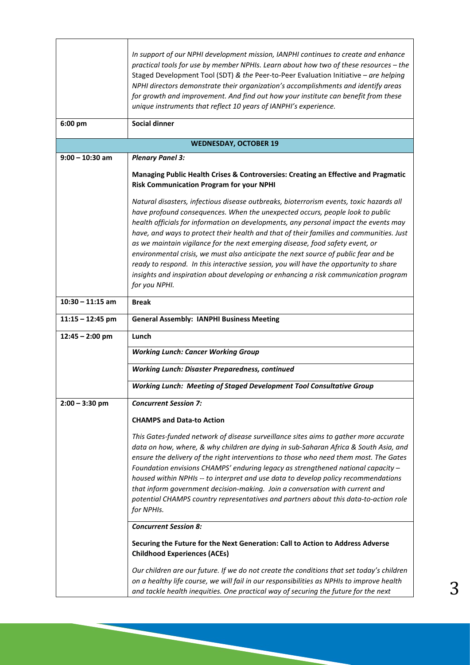|                              | In support of our NPHI development mission, IANPHI continues to create and enhance<br>practical tools for use by member NPHIs. Learn about how two of these resources - the<br>Staged Development Tool (SDT) & the Peer-to-Peer Evaluation Initiative - are helping<br>NPHI directors demonstrate their organization's accomplishments and identify areas<br>for growth and improvement. And find out how your institute can benefit from these<br>unique instruments that reflect 10 years of IANPHI's experience.                                                                                                                                                                                                                  |  |
|------------------------------|--------------------------------------------------------------------------------------------------------------------------------------------------------------------------------------------------------------------------------------------------------------------------------------------------------------------------------------------------------------------------------------------------------------------------------------------------------------------------------------------------------------------------------------------------------------------------------------------------------------------------------------------------------------------------------------------------------------------------------------|--|
| 6:00 pm                      | <b>Social dinner</b>                                                                                                                                                                                                                                                                                                                                                                                                                                                                                                                                                                                                                                                                                                                 |  |
| <b>WEDNESDAY, OCTOBER 19</b> |                                                                                                                                                                                                                                                                                                                                                                                                                                                                                                                                                                                                                                                                                                                                      |  |
| $9:00 - 10:30$ am            | <b>Plenary Panel 3:</b>                                                                                                                                                                                                                                                                                                                                                                                                                                                                                                                                                                                                                                                                                                              |  |
|                              | Managing Public Health Crises & Controversies: Creating an Effective and Pragmatic<br><b>Risk Communication Program for your NPHI</b>                                                                                                                                                                                                                                                                                                                                                                                                                                                                                                                                                                                                |  |
|                              | Natural disasters, infectious disease outbreaks, bioterrorism events, toxic hazards all<br>have profound consequences. When the unexpected occurs, people look to public<br>health officials for information on developments, any personal impact the events may<br>have, and ways to protect their health and that of their families and communities. Just<br>as we maintain vigilance for the next emerging disease, food safety event, or<br>environmental crisis, we must also anticipate the next source of public fear and be<br>ready to respond. In this interactive session, you will have the opportunity to share<br>insights and inspiration about developing or enhancing a risk communication program<br>for you NPHI. |  |
| $10:30 - 11:15$ am           | <b>Break</b>                                                                                                                                                                                                                                                                                                                                                                                                                                                                                                                                                                                                                                                                                                                         |  |
| $11:15 - 12:45$ pm           | <b>General Assembly: IANPHI Business Meeting</b>                                                                                                                                                                                                                                                                                                                                                                                                                                                                                                                                                                                                                                                                                     |  |
| $12:45 - 2:00$ pm            | Lunch                                                                                                                                                                                                                                                                                                                                                                                                                                                                                                                                                                                                                                                                                                                                |  |
|                              | <b>Working Lunch: Cancer Working Group</b>                                                                                                                                                                                                                                                                                                                                                                                                                                                                                                                                                                                                                                                                                           |  |
|                              | <b>Working Lunch: Disaster Preparedness, continued</b>                                                                                                                                                                                                                                                                                                                                                                                                                                                                                                                                                                                                                                                                               |  |
|                              | <b>Working Lunch: Meeting of Staged Development Tool Consultative Group</b>                                                                                                                                                                                                                                                                                                                                                                                                                                                                                                                                                                                                                                                          |  |
| $2:00 - 3:30$ pm             | <b>Concurrent Session 7:</b>                                                                                                                                                                                                                                                                                                                                                                                                                                                                                                                                                                                                                                                                                                         |  |
|                              | <b>CHAMPS and Data-to Action</b>                                                                                                                                                                                                                                                                                                                                                                                                                                                                                                                                                                                                                                                                                                     |  |
|                              | This Gates-funded network of disease surveillance sites aims to gather more accurate<br>data on how, where, & why children are dying in sub-Saharan Africa & South Asia, and<br>ensure the delivery of the right interventions to those who need them most. The Gates<br>Foundation envisions CHAMPS' enduring legacy as strengthened national capacity -<br>housed within NPHIs -- to interpret and use data to develop policy recommendations<br>that inform government decision-making. Join a conversation with current and<br>potential CHAMPS country representatives and partners about this data-to-action role<br>for NPHIs.                                                                                                |  |
|                              | <b>Concurrent Session 8:</b>                                                                                                                                                                                                                                                                                                                                                                                                                                                                                                                                                                                                                                                                                                         |  |
|                              | Securing the Future for the Next Generation: Call to Action to Address Adverse<br><b>Childhood Experiences (ACEs)</b>                                                                                                                                                                                                                                                                                                                                                                                                                                                                                                                                                                                                                |  |
|                              | Our children are our future. If we do not create the conditions that set today's children<br>on a healthy life course, we will fail in our responsibilities as NPHIs to improve health<br>and tackle health inequities. One practical way of securing the future for the next                                                                                                                                                                                                                                                                                                                                                                                                                                                        |  |